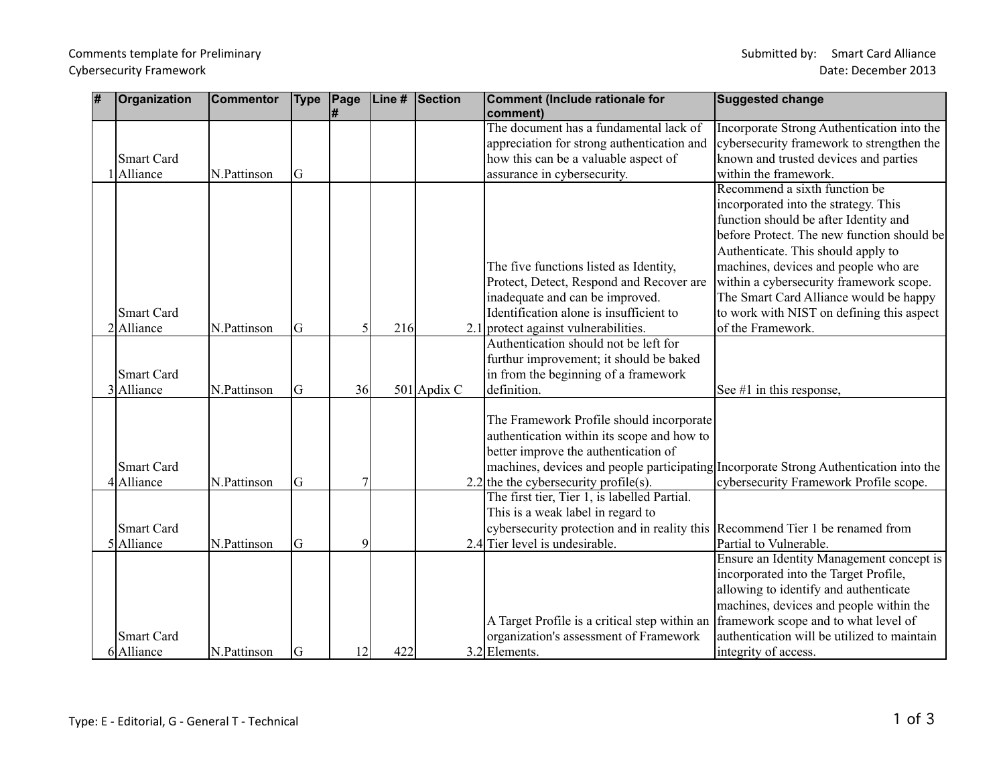## Comments template for Preliminary and the state of the state of the Submitted by: Smart Card Alliance

| # | <b>Organization</b> | <b>Commentor</b> | <b>Type</b> | Page | Line # | <b>Section</b> | Comment (Include rationale for                                                | <b>Suggested change</b>                                                               |
|---|---------------------|------------------|-------------|------|--------|----------------|-------------------------------------------------------------------------------|---------------------------------------------------------------------------------------|
|   |                     |                  |             |      |        |                | comment)                                                                      |                                                                                       |
|   |                     |                  |             |      |        |                | The document has a fundamental lack of                                        | Incorporate Strong Authentication into the                                            |
|   |                     |                  |             |      |        |                | appreciation for strong authentication and                                    | cybersecurity framework to strengthen the                                             |
|   | Smart Card          |                  |             |      |        |                | how this can be a valuable aspect of                                          | known and trusted devices and parties                                                 |
|   | Alliance            | N.Pattinson      | IG          |      |        |                | assurance in cybersecurity.                                                   | within the framework.                                                                 |
|   |                     |                  |             |      |        |                |                                                                               | Recommend a sixth function be                                                         |
|   |                     |                  |             |      |        |                |                                                                               | incorporated into the strategy. This                                                  |
|   |                     |                  |             |      |        |                |                                                                               | function should be after Identity and                                                 |
|   |                     |                  |             |      |        |                |                                                                               | before Protect. The new function should be                                            |
|   |                     |                  |             |      |        |                |                                                                               | Authenticate. This should apply to                                                    |
|   |                     |                  |             |      |        |                | The five functions listed as Identity,                                        | machines, devices and people who are                                                  |
|   |                     |                  |             |      |        |                | Protect, Detect, Respond and Recover are                                      | within a cybersecurity framework scope.                                               |
|   |                     |                  |             |      |        |                | inadequate and can be improved.                                               | The Smart Card Alliance would be happy                                                |
|   | <b>Smart Card</b>   |                  |             |      |        |                | Identification alone is insufficient to                                       | to work with NIST on defining this aspect                                             |
|   | 2Alliance           | N.Pattinson      | G           |      | 216    |                | 2.1 protect against vulnerabilities.                                          | of the Framework.                                                                     |
|   |                     |                  |             |      |        |                | Authentication should not be left for                                         |                                                                                       |
|   |                     |                  |             |      |        |                | furthur improvement; it should be baked                                       |                                                                                       |
|   | <b>Smart Card</b>   |                  |             |      |        |                | in from the beginning of a framework                                          |                                                                                       |
|   | 3 Alliance          | N.Pattinson      | G           | 36   |        | 501 Apdix C    | definition.                                                                   | See $#1$ in this response,                                                            |
|   |                     |                  |             |      |        |                |                                                                               |                                                                                       |
|   |                     |                  |             |      |        |                | The Framework Profile should incorporate                                      |                                                                                       |
|   |                     |                  |             |      |        |                | authentication within its scope and how to                                    |                                                                                       |
|   |                     |                  |             |      |        |                | better improve the authentication of                                          |                                                                                       |
|   | Smart Card          |                  |             |      |        |                |                                                                               | machines, devices and people participating Incorporate Strong Authentication into the |
|   | 4Alliance           | N.Pattinson      | G           |      |        |                | 2.2 the the cybersecurity profile(s).                                         | cybersecurity Framework Profile scope.                                                |
|   |                     |                  |             |      |        |                | The first tier, Tier 1, is labelled Partial.                                  |                                                                                       |
|   |                     |                  |             |      |        |                | This is a weak label in regard to                                             |                                                                                       |
|   | Smart Card          |                  |             |      |        |                | cybersecurity protection and in reality this Recommend Tier 1 be renamed from |                                                                                       |
|   | 5 Alliance          | N.Pattinson      | lG.         | 9    |        |                | 2.4 Tier level is undesirable.                                                | Partial to Vulnerable.                                                                |
|   |                     |                  |             |      |        |                |                                                                               | Ensure an Identity Management concept is                                              |
|   |                     |                  |             |      |        |                |                                                                               | incorporated into the Target Profile,                                                 |
|   |                     |                  |             |      |        |                |                                                                               | allowing to identify and authenticate                                                 |
|   |                     |                  |             |      |        |                |                                                                               | machines, devices and people within the                                               |
|   |                     |                  |             |      |        |                | A Target Profile is a critical step within an                                 | framework scope and to what level of                                                  |
|   | <b>Smart Card</b>   |                  |             |      |        |                | organization's assessment of Framework                                        | authentication will be utilized to maintain                                           |
|   | 6 Alliance          | N.Pattinson      | lG          | 2    | 422    |                | $3.2$ Elements.                                                               | integrity of access.                                                                  |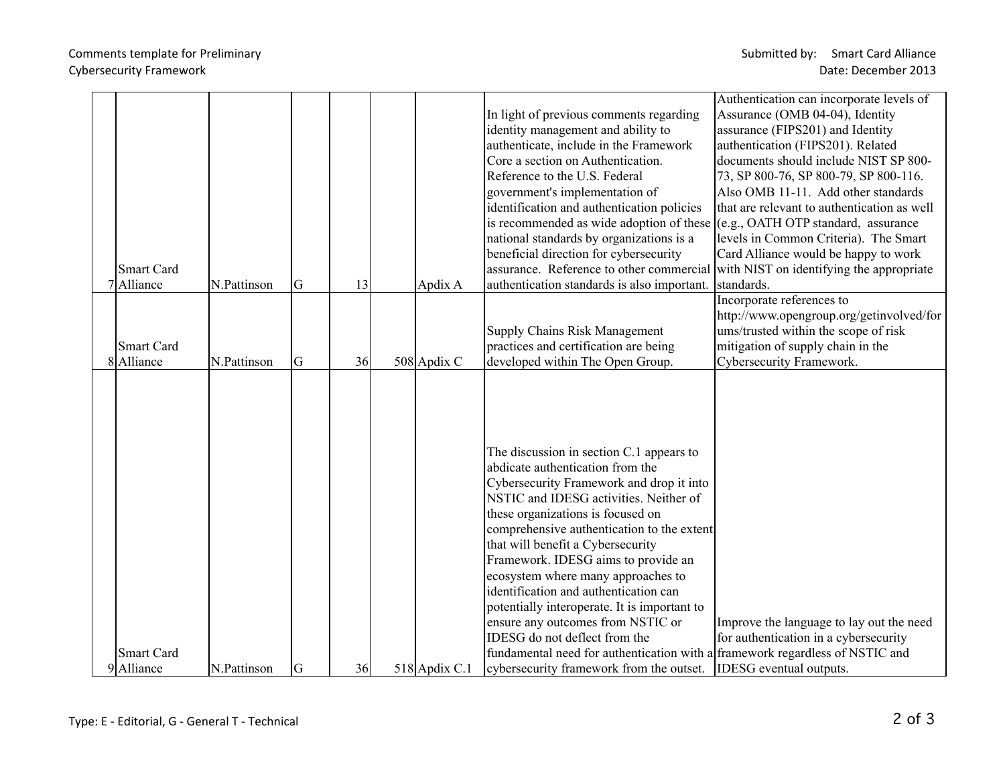|                |                   |             |    |    |             |                                                                               | Authentication can incorporate levels of                                     |
|----------------|-------------------|-------------|----|----|-------------|-------------------------------------------------------------------------------|------------------------------------------------------------------------------|
|                |                   |             |    |    |             | In light of previous comments regarding                                       | Assurance (OMB 04-04), Identity                                              |
|                |                   |             |    |    |             | identity management and ability to                                            | assurance (FIPS201) and Identity                                             |
|                |                   |             |    |    |             | authenticate, include in the Framework                                        | authentication (FIPS201). Related                                            |
|                |                   |             |    |    |             | Core a section on Authentication.                                             | documents should include NIST SP 800-                                        |
|                |                   |             |    |    |             | Reference to the U.S. Federal                                                 | 73, SP 800-76, SP 800-79, SP 800-116.                                        |
|                |                   |             |    |    |             | government's implementation of                                                | Also OMB 11-11. Add other standards                                          |
|                |                   |             |    |    |             | identification and authentication policies                                    | that are relevant to authentication as well                                  |
|                |                   |             |    |    |             | is recommended as wide adoption of these $ (e.g., OATH OTP standard, assume)$ |                                                                              |
|                |                   |             |    |    |             | national standards by organizations is a                                      | levels in Common Criteria). The Smart                                        |
|                |                   |             |    |    |             | beneficial direction for cybersecurity                                        | Card Alliance would be happy to work                                         |
|                | <b>Smart Card</b> |             |    |    |             | assurance. Reference to other commercial                                      | with NIST on identifying the appropriate                                     |
|                | 7 Alliance        | N.Pattinson | G  | 13 | Apdix A     | authentication standards is also important.                                   | standards.                                                                   |
|                |                   |             |    |    |             |                                                                               | Incorporate references to                                                    |
|                |                   |             |    |    |             |                                                                               | http://www.opengroup.org/getinvolved/for                                     |
|                |                   |             |    |    |             | <b>Supply Chains Risk Management</b>                                          | ums/trusted within the scope of risk                                         |
|                | <b>Smart Card</b> |             |    |    |             | practices and certification are being                                         | mitigation of supply chain in the                                            |
|                | 8 Alliance        | N.Pattinson | lG | 36 | 508 Apdix C | developed within The Open Group.                                              | Cybersecurity Framework.                                                     |
|                |                   |             |    |    |             |                                                                               |                                                                              |
|                |                   |             |    |    |             |                                                                               |                                                                              |
|                |                   |             |    |    |             |                                                                               |                                                                              |
|                |                   |             |    |    |             |                                                                               |                                                                              |
|                |                   |             |    |    |             |                                                                               |                                                                              |
|                |                   |             |    |    |             | The discussion in section C.1 appears to                                      |                                                                              |
|                |                   |             |    |    |             | abdicate authentication from the                                              |                                                                              |
|                |                   |             |    |    |             | Cybersecurity Framework and drop it into                                      |                                                                              |
|                |                   |             |    |    |             | NSTIC and IDESG activities. Neither of                                        |                                                                              |
|                |                   |             |    |    |             | these organizations is focused on                                             |                                                                              |
|                |                   |             |    |    |             | comprehensive authentication to the extent                                    |                                                                              |
|                |                   |             |    |    |             | that will benefit a Cybersecurity                                             |                                                                              |
|                |                   |             |    |    |             | Framework. IDESG aims to provide an                                           |                                                                              |
|                |                   |             |    |    |             | ecosystem where many approaches to                                            |                                                                              |
|                |                   |             |    |    |             | identification and authentication can                                         |                                                                              |
|                |                   |             |    |    |             | potentially interoperate. It is important to                                  |                                                                              |
|                |                   |             |    |    |             | ensure any outcomes from NSTIC or                                             | Improve the language to lay out the need                                     |
|                |                   |             |    |    |             | IDESG do not deflect from the                                                 | for authentication in a cybersecurity                                        |
|                | <b>Smart Card</b> |             |    |    |             |                                                                               | fundamental need for authentication with a framework regardless of NSTIC and |
| Alliance<br>91 |                   |             |    |    |             |                                                                               |                                                                              |